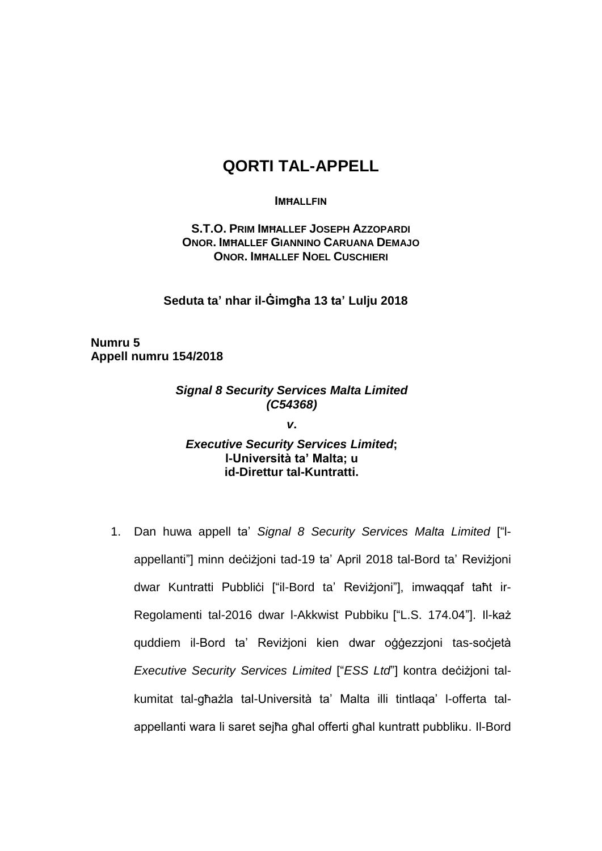# **QORTI TAL-APPELL**

#### **IMĦALLFIN**

**S.T.O. PRIM IMĦALLEF JOSEPH AZZOPARDI ONOR. IMĦALLEF GIANNINO CARUANA DEMAJO ONOR. IMĦALLEF NOEL CUSCHIERI** 

**Seduta ta' nhar il-Ġimgħa 13 ta' Lulju 2018**

**Numru 5 Appell numru 154/2018**

## *Signal 8 Security Services Malta Limited (C54368)*

*v***.**

## *Executive Security Services Limited***; l-Università ta' Malta; u id-Direttur tal-Kuntratti.**

1. Dan huwa appell ta' *Signal 8 Security Services Malta Limited* ["lappellanti"] minn deċiżjoni tad-19 ta' April 2018 tal-Bord ta' Reviżjoni dwar Kuntratti Pubblići ["il-Bord ta' Revizjoni"], imwaqqaf taħt ir-Regolamenti tal-2016 dwar l-Akkwist Pubbiku ["L.S. 174.04"]. Il-każ quddiem il-Bord ta' Reviżjoni kien dwar oġġezzjoni tas-soċjetà *Executive Security Services Limited* ["*ESS Ltd*"] kontra deċiżjoni talkumitat tal-għażla tal-Università ta' Malta illi tintlaqa' l-offerta talappellanti wara li saret sejħa għal offerti għal kuntratt pubbliku. Il-Bord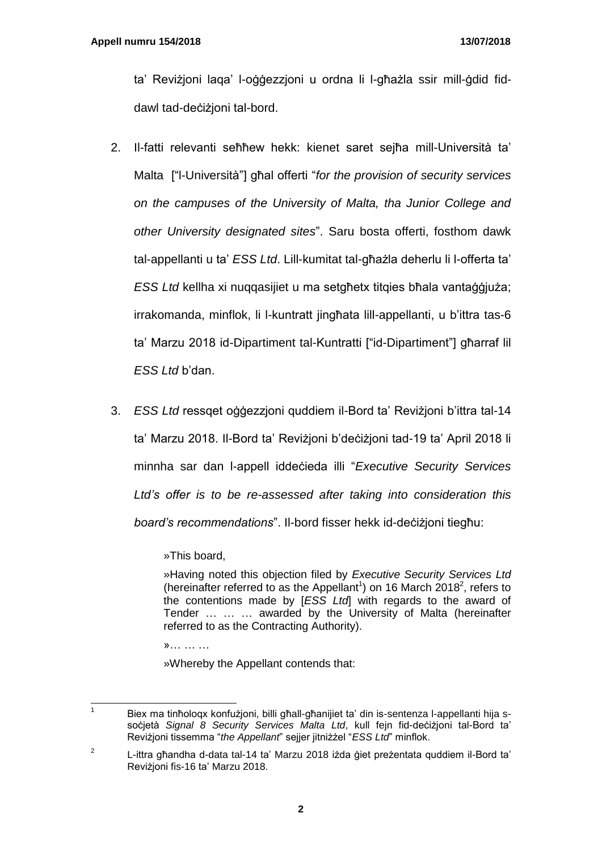ta' Reviżjoni laqa' l-oġġezzjoni u ordna li l-għażla ssir mill-ġdid fiddawl tad-deċiżjoni tal-bord.

- 2. Il-fatti relevanti seħħew hekk: kienet saret sejħa mill-Università ta' Malta ["l-Università"] għal offerti "*for the provision of security services on the campuses of the University of Malta, tha Junior College and other University designated sites*". Saru bosta offerti, fosthom dawk tal-appellanti u ta' *ESS Ltd*. Lill-kumitat tal-għażla deherlu li l-offerta ta' *ESS Ltd* kellha xi nuqqasijiet u ma setgħetx titqies bħala vantaġġjuża; irrakomanda, minflok, li l-kuntratt jingħata lill-appellanti, u b'ittra tas-6 ta' Marzu 2018 id-Dipartiment tal-Kuntratti ["id-Dipartiment"] għarraf lil *ESS Ltd* b'dan.
- 3. *ESS Ltd* ressqet oġġezzjoni quddiem il-Bord ta' Reviżjoni b'ittra tal-14 ta' Marzu 2018. Il-Bord ta' Reviżjoni b'deċiżjoni tad-19 ta' April 2018 li minnha sar dan l-appell iddeċieda illi "*Executive Security Services Ltd's offer is to be re-assessed after taking into consideration this board's recommendations*". Il-bord fisser hekk id-deċiżjoni tiegħu:

»This board,

»Having noted this objection filed by *Executive Security Services Ltd* (hereinafter referred to as the Appellant<sup>1</sup>) on 16 March 2018<sup>2</sup>, refers to the contentions made by [*ESS Ltd*] with regards to the award of Tender … … … awarded by the University of Malta (hereinafter referred to as the Contracting Authority).

»… … …

»Whereby the Appellant contends that:

 $\overline{1}$ Biex ma tinħoloqx konfużjoni, billi għall-għanijiet ta' din is-sentenza l-appellanti hija ssoċjetà *Signal 8 Security Services Malta Ltd*, kull fejn fid-deċiżjoni tal-Bord ta' Reviżjoni tissemma "*the Appellant*" sejjer jitniżżel "*ESS Ltd*" minflok.

<sup>2</sup> L-ittra għandha d-data tal-14 ta' Marzu 2018 iżda ġiet preżentata quddiem il-Bord ta' Reviżjoni fis-16 ta' Marzu 2018.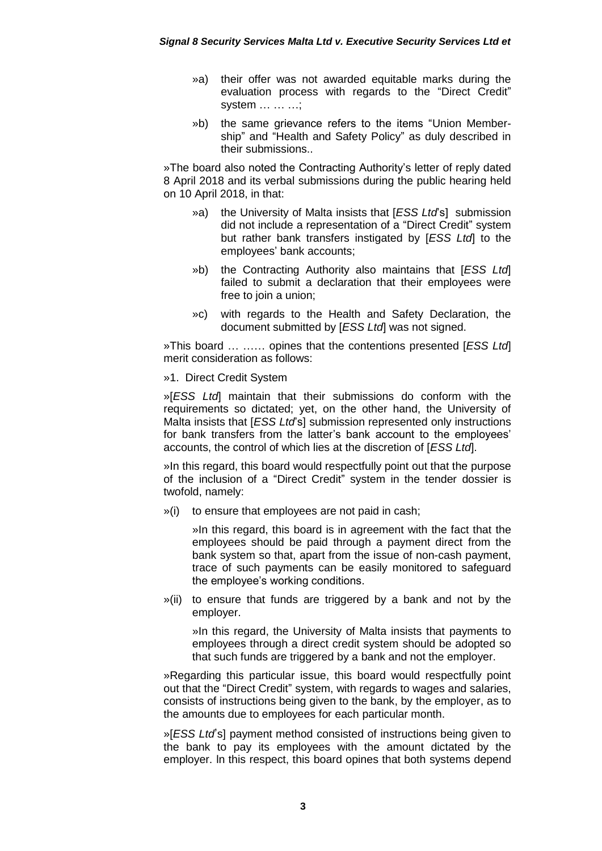- »a) their offer was not awarded equitable marks during the evaluation process with regards to the "Direct Credit" system … … …;
- »b) the same grievance refers to the items "Union Membership" and "Health and Safety Policy" as duly described in their submissions..

»The board also noted the Contracting Authority's letter of reply dated 8 April 2018 and its verbal submissions during the public hearing held on 10 April 2018, in that:

- »a) the University of Malta insists that [*ESS Ltd*'s] submission did not include a representation of a "Direct Credit" system but rather bank transfers instigated by [*ESS Ltd*] to the employees' bank accounts;
- »b) the Contracting Authority also maintains that [*ESS Ltd*] failed to submit a declaration that their employees were free to join a union;
- »c) with regards to the Health and Safety Declaration, the document submitted by [*ESS Ltd*] was not signed.

»This board … …… opines that the contentions presented [*ESS Ltd*] merit consideration as follows:

#### »1. Direct Credit System

»[*ESS Ltd*] maintain that their submissions do conform with the requirements so dictated; yet, on the other hand, the University of Malta insists that [*ESS Ltd*'s] submission represented only instructions for bank transfers from the latter's bank account to the employees' accounts, the control of which lies at the discretion of [*ESS Ltd*].

»In this regard, this board would respectfully point out that the purpose of the inclusion of a "Direct Credit" system in the tender dossier is twofold, namely:

»(i) to ensure that employees are not paid in cash;

»In this regard, this board is in agreement with the fact that the employees should be paid through a payment direct from the bank system so that, apart from the issue of non-cash payment, trace of such payments can be easily monitored to safeguard the employee's working conditions.

»(ii) to ensure that funds are triggered by a bank and not by the employer.

»In this regard, the University of Malta insists that payments to employees through a direct credit system should be adopted so that such funds are triggered by a bank and not the employer.

»Regarding this particular issue, this board would respectfully point out that the "Direct Credit" system, with regards to wages and salaries, consists of instructions being given to the bank, by the employer, as to the amounts due to employees for each particular month.

»[*ESS Ltd*'s] payment method consisted of instructions being given to the bank to pay its employees with the amount dictated by the employer. ln this respect, this board opines that both systems depend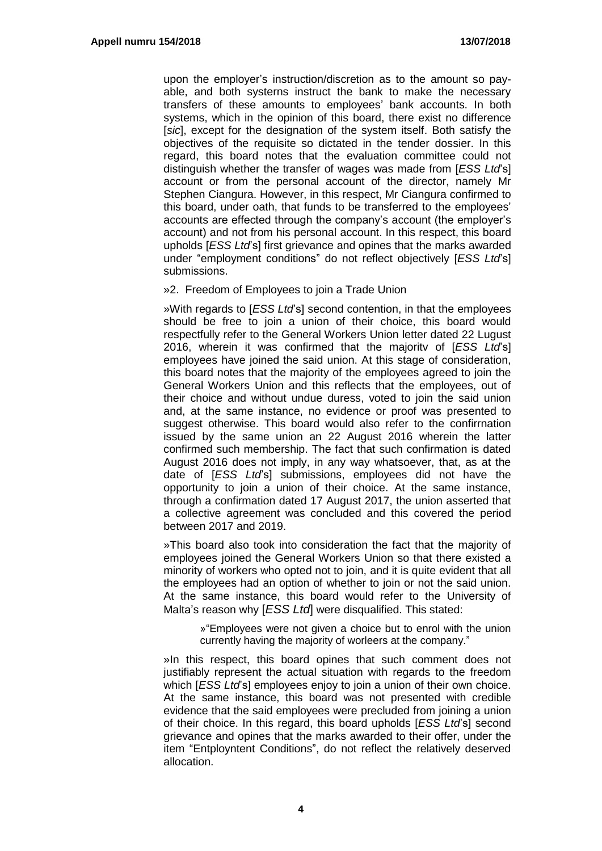upon the employer's instruction/discretion as to the amount so payable, and both systerns instruct the bank to make the necessary transfers of these amounts to employees' bank accounts. In both systems, which in the opinion of this board, there exist no difference [*sic*], except for the designation of the system itself. Both satisfy the objectives of the requisite so dictated in the tender dossier. In this regard, this board notes that the evaluation committee could not distinguish whether the transfer of wages was made from [*ESS Ltd*'s] account or from the personal account of the director, namely Mr Stephen Ciangura. However, in this respect, Mr Ciangura confirmed to this board, under oath, that funds to be transferred to the employees' accounts are effected through the company's account (the employer's account) and not from his personal account. In this respect, this board upholds [*ESS Ltd*'s] first grievance and opines that the marks awarded under "employment conditions" do not reflect objectively [*ESS Ltd*'s] submissions.

»2. Freedom of Employees to join a Trade Union

»With regards to [*ESS Ltd*'s] second contention, in that the employees should be free to join a union of their choice, this board would respectfully refer to the General Workers Union letter dated 22 Lugust 2016, wherein it was confirmed that the majoritv of [*ESS Ltd*'s] employees have joined the said union. At this stage of consideration, this board notes that the majority of the employees agreed to join the General Workers Union and this reflects that the employees, out of their choice and without undue duress, voted to join the said union and, at the same instance, no evidence or proof was presented to suggest otherwise. This board would also refer to the confirrnation issued by the same union an 22 August 2016 wherein the latter confirmed such membership. The fact that such confirmation is dated August 2016 does not imply, in any way whatsoever, that, as at the date of [*ESS Ltd*'s] submissions, employees did not have the opportunity to join a union of their choice. At the same instance, through a confirmation dated 17 August 2017, the union asserted that a collective agreement was concluded and this covered the period between 2017 and 2019.

»This board also took into consideration the fact that the majority of employees joined the General Workers Union so that there existed a minority of workers who opted not to join, and it is quite evident that all the employees had an option of whether to join or not the said union. At the same instance, this board would refer to the University of Malta's reason why [*ESS Ltd*] were disqualified. This stated:

»"Employees were not given a choice but to enrol with the union currently having the majority of worleers at the company."

»In this respect, this board opines that such comment does not justifiably represent the actual situation with regards to the freedom which [*ESS Ltd*'s] employees enjoy to join a union of their own choice. At the same instance, this board was not presented with credible evidence that the said employees were precluded from joining a union of their choice. In this regard, this board upholds [*ESS Ltd*'s] second grievance and opines that the marks awarded to their offer, under the item "Entployntent Conditions", do not reflect the relatively deserved allocation.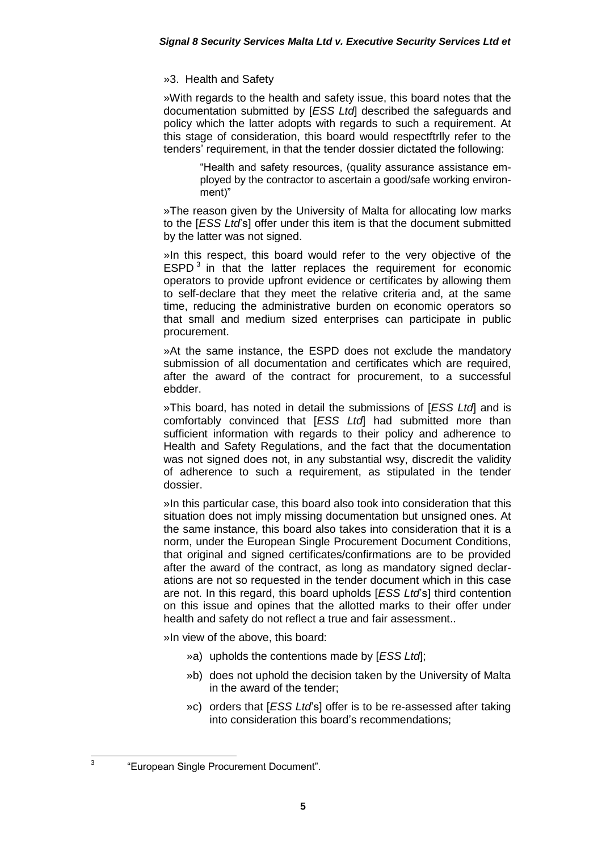### »3. Health and Safety

»With regards to the health and safety issue, this board notes that the documentation submitted by [*ESS Ltd*] described the safeguards and policy which the latter adopts with regards to such a requirement. At this stage of consideration, this board would respectftrlly refer to the tenders' requirement, in that the tender dossier dictated the following:

> "Health and safety resources, (quality assurance assistance employed by the contractor to ascertain a good/safe working environment)"

»The reason given by the University of Malta for allocating low marks to the [*ESS Ltd*'s] offer under this item is that the document submitted by the latter was not signed.

»In this respect, this board would refer to the very objective of the  $ESPD<sup>3</sup>$  in that the latter replaces the requirement for economic operators to provide upfront evidence or certificates by allowing them to self-declare that they meet the relative criteria and, at the same time, reducing the administrative burden on economic operators so that small and medium sized enterprises can participate in public procurement.

»At the same instance, the ESPD does not exclude the mandatory submission of all documentation and certificates which are required, after the award of the contract for procurement, to a successful ebdder.

»This board, has noted in detail the submissions of [*ESS Ltd*] and is comfortably convinced that [*ESS Ltd*] had submitted more than sufficient information with regards to their policy and adherence to Health and Safety Regulations, and the fact that the documentation was not signed does not, in any substantial wsy, discredit the validity of adherence to such a requirement, as stipulated in the tender dossier.

»In this particular case, this board also took into consideration that this situation does not imply missing documentation but unsigned ones. At the same instance, this board also takes into consideration that it is a norm, under the European Single Procurement Document Conditions, that original and signed certificates/confirmations are to be provided after the award of the contract, as long as mandatory signed declarations are not so requested in the tender document which in this case are not. In this regard, this board upholds [*ESS Ltd*'s] third contention on this issue and opines that the allotted marks to their offer under health and safety do not reflect a true and fair assessment..

»In view of the above, this board:

- »a) upholds the contentions made by [*ESS Ltd*];
- »b) does not uphold the decision taken by the University of Malta in the award of the tender;
- »c) orders that [*ESS Ltd*'s] offer is to be re-assessed after taking into consideration this board's recommendations;

3

<sup>&</sup>quot;European Single Procurement Document".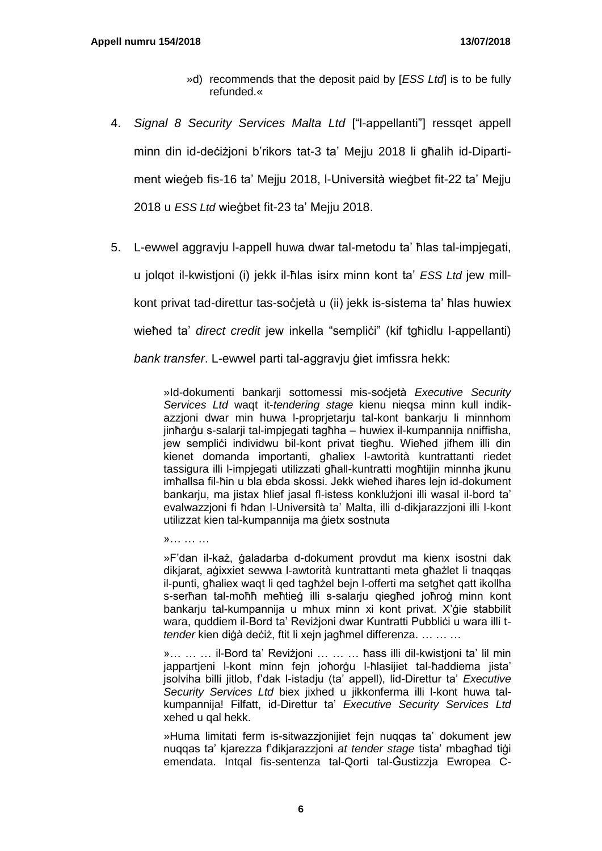- »d) recommends that the deposit paid by [*ESS Ltd*] is to be fully refunded.«
- 4. *Signal 8 Security Services Malta Ltd* ["l-appellanti"] ressqet appell minn din id-deċiżioni b'rikors tat-3 ta' Meiju 2018 li għalih id-Dipartiment wieġeb fis-16 ta' Mejju 2018, l-Università wieġbet fit-22 ta' Mejju 2018 u *ESS Ltd* wieġbet fit-23 ta' Mejju 2018.
- 5. L-ewwel aggravju l-appell huwa dwar tal-metodu ta' ħlas tal-impjegati, u jolqot il-kwistjoni (i) jekk il-ħlas isirx minn kont ta' *ESS Ltd* jew millkont privat tad-direttur tas-soċjetà u (ii) jekk is-sistema ta' ħlas huwiex wieħed ta' *direct credit* jew inkella "sempliċi" (kif tgħidlu l-appellanti) *bank transfer*. L-ewwel parti tal-aggravju ġiet imfissra hekk:

»Id-dokumenti bankarji sottomessi mis-soċjetà *Executive Security Services Ltd* waqt it-*tendering stage* kienu nieqsa minn kull indikazzjoni dwar min huwa l-proprjetarju tal-kont bankarju li minnhom jinħarġu s-salarji tal-impjegati tagħha – huwiex il-kumpannija nniffisha, jew semplici individwu bil-kont privat tiegħu. Wieħed jifhem illi din kienet domanda importanti, għaliex l-awtorità kuntrattanti riedet tassigura illi l-impjegati utilizzati għall-kuntratti mogħtijin minnha jkunu imħallsa fil-ħin u bla ebda skossi. Jekk wieħed iħares lejn id-dokument bankarju, ma jistax ħlief jasal fl-istess konklużjoni illi wasal il-bord ta' evalwazzjoni fi ħdan l-Università ta' Malta, illi d-dikjarazzjoni illi l-kont utilizzat kien tal-kumpannija ma ġietx sostnuta

»… … …

»F'dan il-każ, ġaladarba d-dokument provdut ma kienx isostni dak dikjarat, aġixxiet sewwa l-awtorità kuntrattanti meta għażlet li tnaqqas il-punti, għaliex waqt li qed tagħżel bejn l-offerti ma setgħet qatt ikollha s-serħan tal-moħħ meħtieġ illi s-salarju qiegħed joħroġ minn kont bankarju tal-kumpannija u mhux minn xi kont privat. X'ġie stabbilit wara, quddiem il-Bord ta' Revizjoni dwar Kuntratti Pubblici u wara illi t*tender* kien diġà deċiż, ftit li xejn jagħmel differenza. … … …

»… … … il-Bord ta' Reviżjoni … … … ħass illi dil-kwistjoni ta' lil min jappartjeni l-kont minn fejn joħorġu l-ħlasijiet tal-ħaddiema jista' jsolviha billi jitlob, f'dak l-istadju (ta' appell), lid-Direttur ta' *Executive Security Services Ltd* biex jixhed u jikkonferma illi l-kont huwa talkumpannija! Filfatt, id-Direttur ta' *Executive Security Services Ltd* xehed u qal hekk.

»Huma limitati ferm is-sitwazzjonijiet fejn nuqqas ta' dokument jew nuqqas ta' kjarezza f'dikjarazzjoni *at tender stage* tista' mbagħad tiġi emendata. Intqal fis-sentenza tal-Qorti tal-Ġustizzja Ewropea C-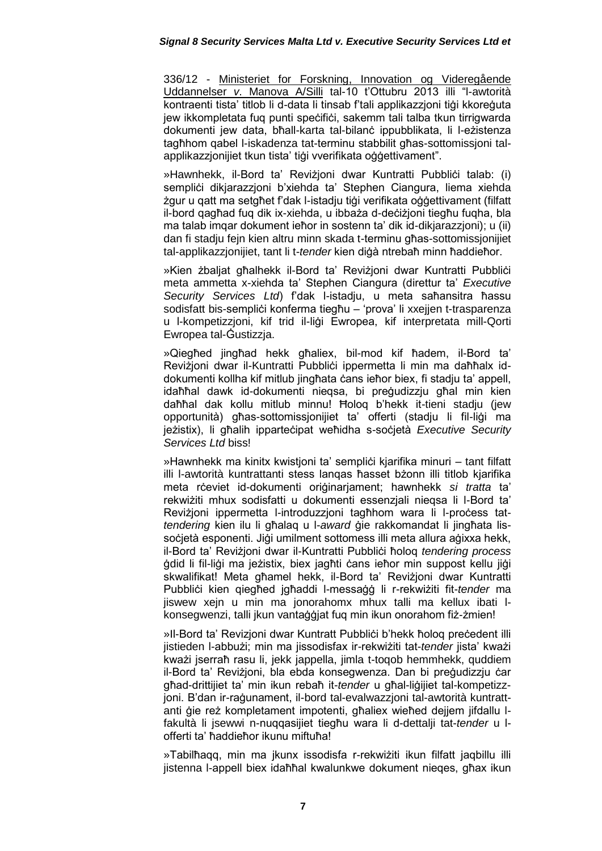336/12 - Ministeriet for Forskning, Innovation og Videregående Uddannelser *v*. Manova A/Silli tal-10 t'Ottubru 2013 illi "l-awtorità kontraenti tista' titlob li d-data li tinsab f'tali applikazzjoni tiġi kkoreġuta jew ikkompletata fug punti spečifiči, sakemm tali talba tkun tirrigwarda dokumenti jew data, bħall-karta tal-bilanċ ippubblikata, li l-eżistenza tagħhom qabel l-iskadenza tat-terminu stabbilit għas-sottomissjoni talapplikazzjonijiet tkun tista' tiġi vverifikata oġġettivament".

»Hawnhekk, il-Bord ta' Revizioni dwar Kuntratti Pubblici talab: (i) sempliċi dikjarazzjoni b'xiehda ta' Stephen Ciangura, liema xiehda żgur u qatt ma setgħet f'dak l-istadju tiġi verifikata oġġettivament (filfatt il-bord qagħad fuq dik ix-xiehda, u ibbaża d-deċiżjoni tiegħu fuqha, bla ma talab imqar dokument ieħor in sostenn ta' dik id-dikjarazzjoni); u (ii) dan fi stadju fejn kien altru minn skada t-terminu għas-sottomissjonijiet tal-applikazzjonijiet, tant li t-*tender* kien diġà ntrebaħ minn ħaddieħor.

»Kien żbaljat għalhekk il-Bord ta' Reviżjoni dwar Kuntratti Pubblići meta ammetta x-xiehda ta' Stephen Ciangura (direttur ta' *Executive Security Services Ltd*) f'dak l-istadju, u meta saħansitra ħassu sodisfatt bis-semplici konferma tiegħu – 'prova' li xxejjen t-trasparenza u l-kompetizzjoni, kif trid il-liġi Ewropea, kif interpretata mill-Qorti Ewropea tal-Ġustizzja.

»Qiegħed jingħad hekk għaliex, bil-mod kif ħadem, il-Bord ta' Reviżjoni dwar il-Kuntratti Pubblići ippermetta li min ma daħħalx iddokumenti kollha kif mitlub jingħata ċans ieħor biex, fi stadju ta' appell, idaħħal dawk id-dokumenti nieqsa, bi preġudizzju għal min kien daħħal dak kollu mitlub minnu! Ħoloq b'hekk it-tieni stadju (jew opportunità) għas-sottomissionijiet ta' offerti (stadiu li fil-liġi ma jeżistix), li għalih ipparteċipat weħidha s-soċjetà *Executive Security Services Ltd* biss!

»Hawnhekk ma kinitx kwistioni ta' semplici kjarifika minuri – tant filfatt illi l-awtorità kuntrattanti stess lanqas ħasset bżonn illi titlob kjarifika meta rċeviet id-dokumenti oriġinarjament; hawnhekk *si tratta* ta' rekwiżiti mhux sodisfatti u dokumenti essenzjali nieqsa li l-Bord ta' Reviżjoni ippermetta l-introduzzjoni tagħhom wara li l-proċess tat*tendering* kien ilu li għalaq u l-*award* ġie rakkomandat li jingħata lissocietà esponenti. Jigi umilment sottomess illi meta allura agixxa hekk, il-Bord ta' Reviżjoni dwar il-Kuntratti Pubbliċi ħoloq *tendering process* ġdid li fil-liġi ma jeżistix, biex jagħti ċans ieħor min suppost kellu jiġi skwalifikat! Meta għamel hekk, il-Bord ta' Reviżjoni dwar Kuntratti Pubbliċi kien qiegħed jgħaddi l-messaġġ li r-rekwiżiti fit-*tender* ma jiswew xejn u min ma jonorahomx mhux talli ma kellux ibati lkonsegwenzi, talli jkun vantaġġjat fuq min ikun onorahom fiż-żmien!

»II-Bord ta' Revizjoni dwar Kuntratt Pubblici b'hekk holog preċedent illi jistieden l-abbużi; min ma jissodisfax ir-rekwiżiti tat-*tender* jista' kważi kważi jserraħ rasu li, jekk jappella, jimla t-toqob hemmhekk, quddiem il-Bord ta' Reviżjoni, bla ebda konsegwenza. Dan bi preġudizzju ċar għad-drittijiet ta' min ikun rebaħ it-*tender* u għal-liġijiet tal-kompetizzjoni. B'dan ir-raġunament, il-bord tal-evalwazzjoni tal-awtorità kuntrattanti ġie reż kompletament impotenti, għaliex wieħed dejjem jifdallu lfakultà li jsewwi n-nuqqasijiet tiegħu wara li d-dettalji tat-*tender* u lofferti ta' ħaddieħor ikunu miftuħa!

»Tabilħaqq, min ma jkunx issodisfa r-rekwiżiti ikun filfatt jaqbillu illi jistenna l-appell biex idaħħal kwalunkwe dokument nieqes, għax ikun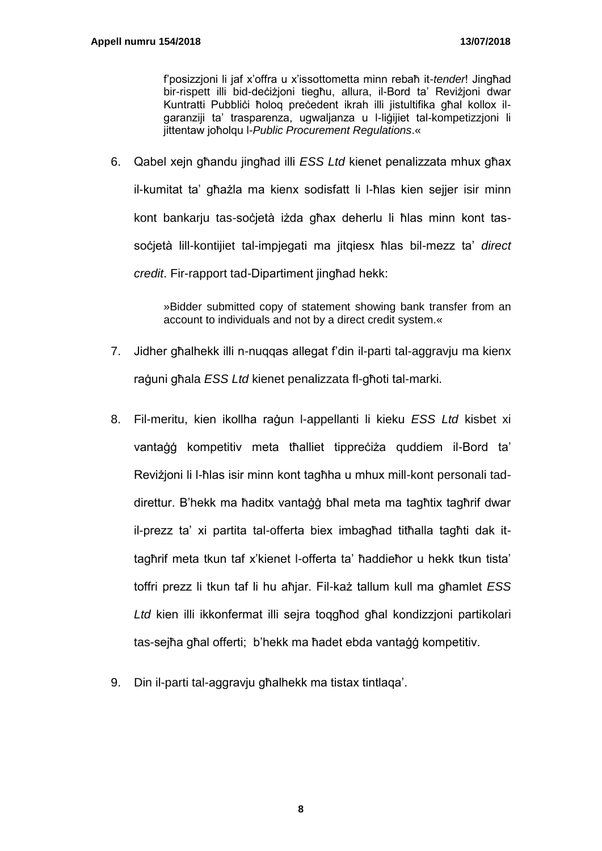f'posizzjoni li jaf x'offra u x'issottometta minn rebaħ it-*tender*! Jingħad bir-rispett illi bid-deċiżjoni tiegħu, allura, il-Bord ta' Reviżjoni dwar Kuntratti Pubblici ħoloq precedent ikrah illi jistultifika għal kollox ilgaranziji ta' trasparenza, ugwaljanza u l-liġijiet tal-kompetizzjoni li jittentaw joħolqu l-*Public Procurement Regulations*.«

6. Qabel xejn għandu jingħad illi *ESS Ltd* kienet penalizzata mhux għax il-kumitat ta' għażla ma kienx sodisfatt li l-ħlas kien sejjer isir minn kont bankarju tas-soċjetà iżda għax deherlu li ħlas minn kont tassoċjetà lill-kontijiet tal-impjegati ma jitqiesx ħlas bil-mezz ta' *direct credit*. Fir-rapport tad-Dipartiment jingħad hekk:

> »Bidder submitted copy of statement showing bank transfer from an account to individuals and not by a direct credit system.«

- 7. Jidher għalhekk illi n-nuqqas allegat f'din il-parti tal-aggravju ma kienx raġuni għala *ESS Ltd* kienet penalizzata fl-għoti tal-marki.
- 8. Fil-meritu, kien ikollha raġun l-appellanti li kieku *ESS Ltd* kisbet xi vantaġġ kompetitiv meta tħalliet tippreċiża quddiem il-Bord ta' Reviżjoni li l-ħlas isir minn kont tagħha u mhux mill-kont personali taddirettur. B'hekk ma ħaditx vantaġġ bħal meta ma tagħtix tagħrif dwar il-prezz ta' xi partita tal-offerta biex imbagħad titħalla tagħti dak ittagħrif meta tkun taf x'kienet l-offerta ta' ħaddieħor u hekk tkun tista' toffri prezz li tkun taf li hu aħjar. Fil-każ tallum kull ma għamlet *ESS Ltd* kien illi ikkonfermat illi sejra toqgħod għal kondizzjoni partikolari tas-sejħa għal offerti; b'hekk ma ħadet ebda vantaġġ kompetitiv.
- 9. Din il-parti tal-aggravju għalhekk ma tistax tintlaqa'.

**8**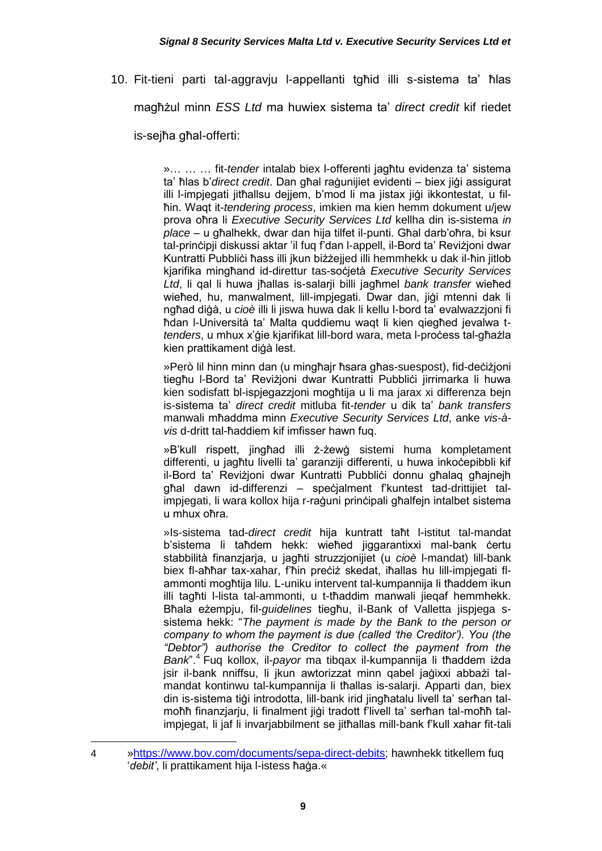10. Fit-tieni parti tal-aggravju l-appellanti tgħid illi s-sistema ta' ħlas

magħżul minn *ESS Ltd* ma huwiex sistema ta' *direct credit* kif riedet

is-sejħa għal-offerti:

»… … … fit-*tender* intalab biex l-offerenti jagħtu evidenza ta' sistema ta' ħlas b'*direct credit*. Dan għal raġunijiet evidenti – biex jiġi assigurat illi l-impjegati jitħallsu dejjem, b'mod li ma jistax jiġi ikkontestat, u filħin. Waqt it-*tendering process*, imkien ma kien hemm dokument u/jew prova oħra li *Executive Security Services Ltd* kellha din is-sistema *in place* – u għalhekk, dwar dan hija tilfet il-punti. Għal darb'oħra, bi ksur tal-prinċipji diskussi aktar 'il fuq f'dan l-appell, il-Bord ta' Reviżjoni dwar Kuntratti Pubblići ħass illi jkun biżżejjed illi hemmhekk u dak il-ħin jitlob kjarifika mingħand id-direttur tas-soċjetà *Executive Security Services Ltd*, li qal li huwa jħallas is-salarji billi jagħmel *bank transfer* wieħed wieħed, hu, manwalment, lill-impjegati. Dwar dan, jiġi mtenni dak li ngħad diġà, u *cioè* illi li jiswa huwa dak li kellu l-bord ta' evalwazzjoni fi ħdan l-Università ta' Malta quddiemu waqt li kien qiegħed jevalwa t*tenders*, u mhux x'ġie kjarifikat lill-bord wara, meta l-proċess tal-għażla kien prattikament diġà lest.

»Però lil hinn minn dan (u mingħajr ħsara għas-suespost), fid-deċiżjoni tiegħu l-Bord ta' Reviżjoni dwar Kuntratti Pubbliċi jirrimarka li huwa kien sodisfatt bl-ispjegazzjoni mogħtija u li ma jarax xi differenza bejn is-sistema ta' *direct credit* mitluba fit-*tender* u dik ta' *bank transfers* manwali mħaddma minn *Executive Security Services Ltd*, anke *vis-àvis* d-dritt tal-ħaddiem kif imfisser hawn fuq.

»B'kull rispett, jingħad illi ż-żewġ sistemi huma kompletament differenti, u jagħtu livelli ta' garanziji differenti, u huwa inkoċepibbli kif il-Bord ta' Reviżjoni dwar Kuntratti Pubbliċi donnu għalaq għajnejh għal dawn id-differenzi – speċjalment f'kuntest tad-drittijiet talimpjegati, li wara kollox hija r-raġuni prinċipali għalfejn intalbet sistema u mhux oħra.

»Is-sistema tad-*direct credit* hija kuntratt taħt l-istitut tal-mandat b'sistema li taħdem hekk: wieħed jiggarantixxi mal-bank ċertu stabbilità finanzjarja, u jagħti struzzjonijiet (u *cioè* l-mandat) lill-bank biex fl-aħħar tax-xahar, f'ħin preċiż skedat, iħallas hu lill-impjegati flammonti mogħtija lilu. L-uniku intervent tal-kumpannija li tħaddem ikun illi tagħti l-lista tal-ammonti, u t-tħaddim manwali jieqaf hemmhekk. Bħala eżempju, fil-*guidelines* tiegħu, il-Bank of Valletta jispjega ssistema hekk: "*The payment is made by the Bank to the person or company to whom the payment is due (called 'the Creditor'). You (the "Debtor") authorise the Creditor to collect the payment from the Bank*".<sup>4</sup> Fuq kollox, il-*payor* ma tibqax il-kumpannija li tħaddem iżda jsir il-bank nniffsu, li jkun awtorizzat minn qabel jaġixxi abbażi talmandat kontinwu tal-kumpannija li tħallas is-salarii. Apparti dan, biex din is-sistema tiġi introdotta, lill-bank irid jingħatalu livell ta' serħan talmoħħ finanzjarju, li finalment jiġi tradott f'livell ta' serħan tal-moħħ talimpjegat, li jaf li invarjabbilment se jitħallas mill-bank f'kull xahar fit-tali

l

<sup>4</sup> [»https://www.bov.com/documents/sepa-direct-debits;](https://www.bov.com/documents/sepa-direct-debits) hawnhekk titkellem fuq '*debit'*, li prattikament hija l-istess ħaġa.«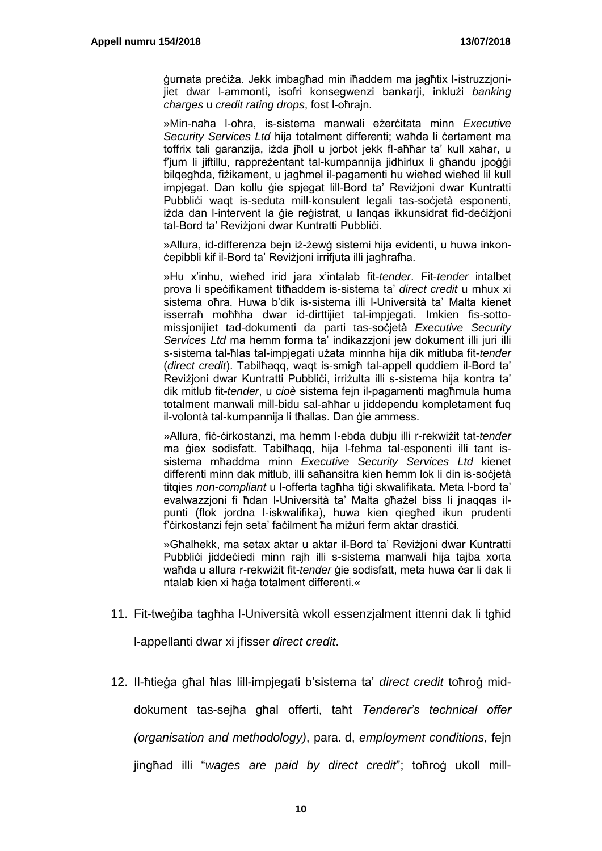ġurnata preċiża. Jekk imbagħad min iħaddem ma jagħtix l-istruzzjonijiet dwar l-ammonti, isofri konsegwenzi bankarji, inklużi *banking charges* u *credit rating drops*, fost l-oħrajn.

»Min-naħa l-oħra, is-sistema manwali eżerċitata minn *Executive*  Security Services Ltd hija totalment differenti; waħda li certament ma toffrix tali garanzija, iżda jħoll u jorbot jekk fl-aħħar ta' kull xahar, u f'jum li jiftillu, rappreżentant tal-kumpannija jidhirlux li għandu jpoġġi bilqegħda, fiżikament, u jagħmel il-pagamenti hu wieħed wieħed lil kull impjegat. Dan kollu ġie spjegat lill-Bord ta' Reviżjoni dwar Kuntratti Pubbliċi waqt is-seduta mill-konsulent legali tas-soċjetà esponenti, iżda dan l-intervent la ġie reġistrat, u lanqas ikkunsidrat fid-deċiżjoni tal-Bord ta' Reviżjoni dwar Kuntratti Pubblici.

»Allura, id-differenza bejn iż-żewġ sistemi hija evidenti, u huwa inkonċepibbli kif il-Bord ta' Reviżjoni irrifjuta illi jagħrafha.

»Hu x'inhu, wieħed irid jara x'intalab fit-*tender*. Fit-*tender* intalbet prova li speċifikament titħaddem is-sistema ta' *direct credit* u mhux xi sistema oħra. Huwa b'dik is-sistema illi l-Università ta' Malta kienet isserraħ moħħha dwar id-dirttijiet tal-impjegati. Imkien fis-sottomissjonijiet tad-dokumenti da parti tas-soċjetà *Executive Security Services Ltd* ma hemm forma ta' indikazzjoni jew dokument illi juri illi s-sistema tal-ħlas tal-impjegati użata minnha hija dik mitluba fit-*tender* (*direct credit*). Tabilħaqq, waqt is-smigħ tal-appell quddiem il-Bord ta' Reviżjoni dwar Kuntratti Pubblići, irriżulta illi s-sistema hija kontra ta' dik mitlub fit-*tender*, u *cioè* sistema fejn il-pagamenti magħmula huma totalment manwali mill-bidu sal-aħħar u jiddependu kompletament fuq il-volontà tal-kumpannija li tħallas. Dan gie ammess.

»Allura, fiċ-ċirkostanzi, ma hemm l-ebda dubju illi r-rekwiżit tat-*tender* ma giex sodisfatt. Tabilhagg, hija l-fehma tal-esponenti illi tant issistema mħaddma minn *Executive Security Services Ltd* kienet differenti minn dak mitlub, illi saħansitra kien hemm lok li din is-soċjetà titqies *non-compliant* u l-offerta tagħha tiġi skwalifikata. Meta l-bord ta' evalwazzjoni fi ħdan l-Università ta' Malta għażel biss li jnaqqas ilpunti (flok jordna l-iskwalifika), huwa kien qiegħed ikun prudenti f'ċirkostanzi fejn seta' faċilment ħa miżuri ferm aktar drastiċi.

»Għalhekk, ma setax aktar u aktar il-Bord ta' Reviżjoni dwar Kuntratti Pubbliċi jiddeċiedi minn rajh illi s-sistema manwali hija tajba xorta waħda u allura r-rekwiżit fit-*tender* ġie sodisfatt, meta huwa ċar li dak li ntalab kien xi ħaġa totalment differenti.«

11. Fit-tweġiba tagħha l-Università wkoll essenzjalment ittenni dak li tgħid

l-appellanti dwar xi jfisser *direct credit*.

12. Il-ħtieġa għal ħlas lill-impjegati b'sistema ta' *direct credit* toħroġ mid-

dokument tas-sejħa għal offerti, taħt *Tenderer's technical offer* 

*(organisation and methodology)*, para. d, *employment conditions*, fejn

jingħad illi "*wages are paid by direct credit*"; toħroġ ukoll mill-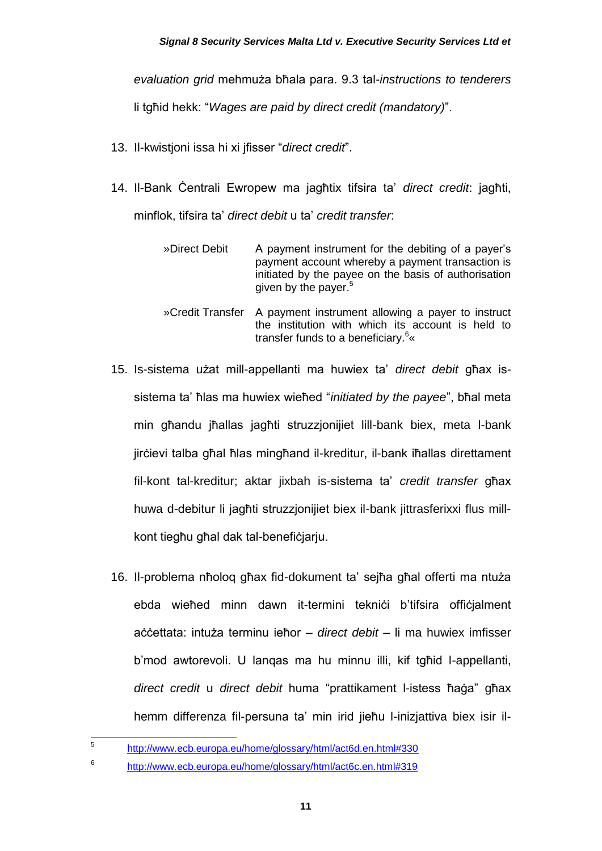#### *Signal 8 Security Services Malta Ltd v. Executive Security Services Ltd et*

*evaluation grid* mehmuża bħala para. 9.3 tal-*instructions to tenderers*

li tgħid hekk: "*Wages are paid by direct credit (mandatory)*".

- 13. Il-kwistjoni issa hi xi jfisser "*direct credit*".
- 14. Il-Bank Ċentrali Ewropew ma jagħtix tifsira ta' *direct credit*: jagħti, minflok, tifsira ta' *direct debit* u ta' *credit transfer*:
	- »Direct Debit A payment instrument for the debiting of a payer's payment account whereby a payment transaction is initiated by the payee on the basis of authorisation given by the payer.<sup>5</sup>
	- »Credit Transfer A payment instrument allowing a payer to instruct the institution with which its account is held to transfer funds to a beneficiary.<sup>6</sup>«
- 15. Is-sistema użat mill-appellanti ma huwiex ta' *direct debit* għax issistema ta' ħlas ma huwiex wieħed "*initiated by the payee*", bħal meta min għandu jħallas jagħti struzzjonijiet lill-bank biex, meta l-bank jirċievi talba għal ħlas mingħand il-kreditur, il-bank iħallas direttament fil-kont tal-kreditur; aktar jixbah is-sistema ta' *credit transfer* għax huwa d-debitur li jagħti struzzjonijiet biex il-bank jittrasferixxi flus millkont tiegħu għal dak tal-benefiċjarju.
- 16. Il-problema nħoloq għax fid-dokument ta' sejħa għal offerti ma ntuża ebda wieħed minn dawn it-termini tekniċi b'tifsira offiċjalment aċċettata: intuża terminu ieħor – *direct debit* – li ma huwiex imfisser b'mod awtorevoli. U lanqas ma hu minnu illi, kif tgħid l-appellanti, *direct credit* u *direct debit* huma "prattikament l-istess ħaġa" għax hemm differenza fil-persuna ta' min irid jieħu l-inizjattiva biex isir il-
- 5 <http://www.ecb.europa.eu/home/glossary/html/act6d.en.html#330>
- 6 <http://www.ecb.europa.eu/home/glossary/html/act6c.en.html#319>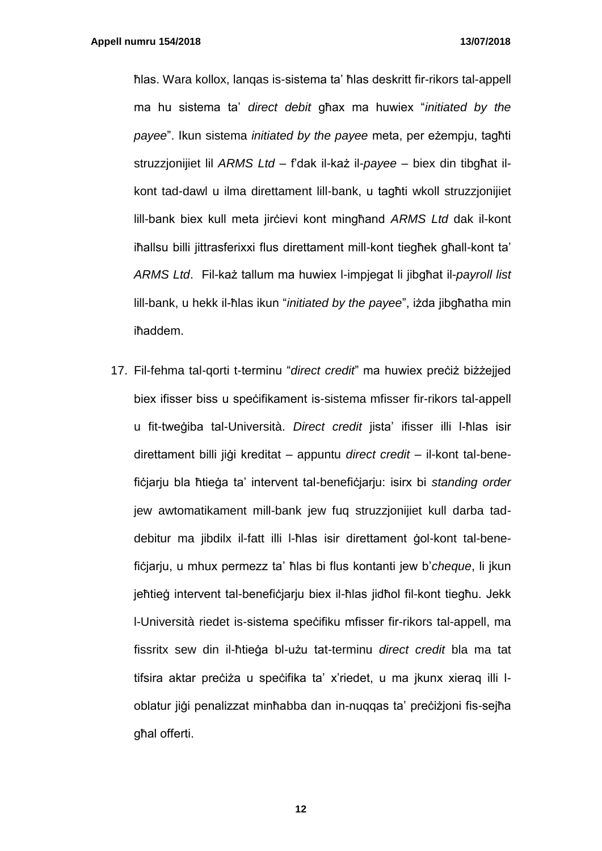ħlas. Wara kollox, lanqas is-sistema ta' ħlas deskritt fir-rikors tal-appell ma hu sistema ta' *direct debit* għax ma huwiex "*initiated by the payee*". Ikun sistema *initiated by the payee* meta, per eżempju, tagħti struzzjonijiet lil *ARMS Ltd* – f'dak il-każ il-*payee* – biex din tibgħat ilkont tad-dawl u ilma direttament lill-bank, u tagħti wkoll struzzjonijiet lill-bank biex kull meta jirċievi kont mingħand *ARMS Ltd* dak il-kont iħallsu billi jittrasferixxi flus direttament mill-kont tiegħek għall-kont ta' *ARMS Ltd*. Fil-każ tallum ma huwiex l-impjegat li jibgħat il-*payroll list* lill-bank, u hekk il-ħlas ikun "*initiated by the payee*", iżda jibgħatha min iħaddem.

17. Fil-fehma tal-qorti t-terminu "*direct credit*" ma huwiex preċiż biżżejjed biex ifisser biss u speċifikament is-sistema mfisser fir-rikors tal-appell u fit-tweġiba tal-Università. *Direct credit* jista' ifisser illi l-ħlas isir direttament billi jiġi kreditat – appuntu *direct credit* – il-kont tal-benefiċjarju bla ħtieġa ta' intervent tal-benefiċjarju: isirx bi *standing order* jew awtomatikament mill-bank jew fuq struzzjonijiet kull darba taddebitur ma jibdilx il-fatt illi l-ħlas isir direttament ġol-kont tal-benefiċjarju, u mhux permezz ta' ħlas bi flus kontanti jew b'*cheque*, li jkun jeħtieġ intervent tal-benefiċjarju biex il-ħlas jidħol fil-kont tiegħu. Jekk l-Università riedet is-sistema speċifiku mfisser fir-rikors tal-appell, ma fissritx sew din il-ħtieġa bl-użu tat-terminu *direct credit* bla ma tat tifsira aktar preċiża u speċifika ta' x'riedet, u ma jkunx xieraq illi loblatur jiġi penalizzat minħabba dan in-nuqqas ta' preċiżjoni fis-sejħa għal offerti.

**12**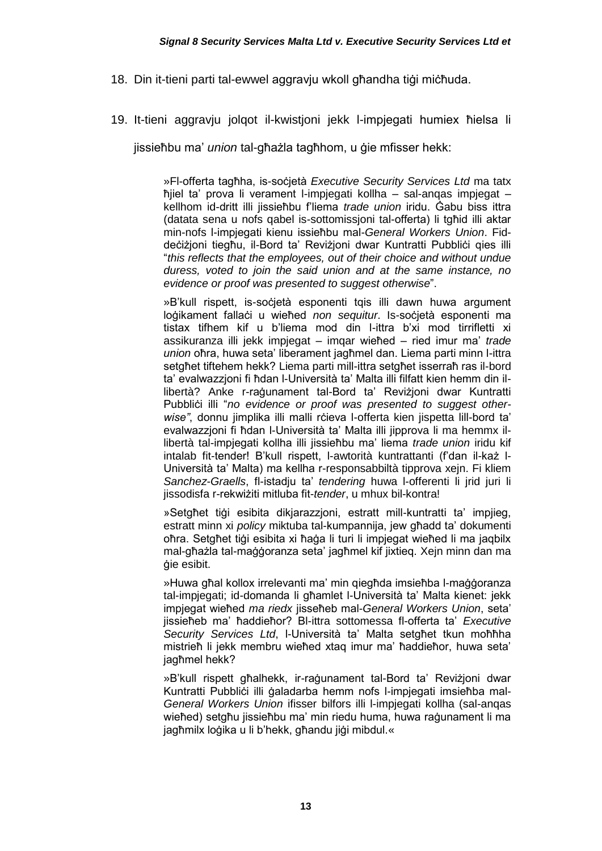- 18. Din it-tieni parti tal-ewwel aggravju wkoll għandha tiġi miċħuda.
- 19. It-tieni aggravju jolqot il-kwistjoni jekk l-impjegati humiex ħielsa li

jissieħbu ma' *union* tal-għażla tagħhom, u ġie mfisser hekk:

»Fl-offerta tagħha, is-soċjetà *Executive Security Services Ltd* ma tatx ħjiel ta' prova li verament l-impjegati kollha – sal-anqas impjegat – kellhom id-dritt illi jissieħbu f'liema *trade union* iridu. Ġabu biss ittra (datata sena u nofs qabel is-sottomissjoni tal-offerta) li tgħid illi aktar min-nofs l-impjegati kienu issieħbu mal-*General Workers Union*. Fiddeċiżjoni tiegħu, il-Bord ta' Reviżjoni dwar Kuntratti Pubbliċi gies illi "*this reflects that the employees, out of their choice and without undue duress, voted to join the said union and at the same instance, no evidence or proof was presented to suggest otherwise*".

»B'kull rispett, is-socjetà esponenti tqis illi dawn huwa argument loġikament fallaċi u wieħed *non sequitur*. Is-soċjetà esponenti ma tistax tifhem kif u b'liema mod din l-ittra b'xi mod tirrifletti xi assikuranza illi jekk impjegat – imqar wieħed – ried imur ma' *trade union* oħra, huwa seta' liberament jagħmel dan. Liema parti minn l-ittra setgħet tiftehem hekk? Liema parti mill-ittra setgħet isserraħ ras il-bord ta' evalwazzjoni fi ħdan l-Università ta' Malta illi filfatt kien hemm din illibertà? Anke r-raġunament tal-Bord ta' Reviżjoni dwar Kuntratti Pubblici illi "no evidence or proof was presented to suggest otherwise", donnu jimplika illi malli rċieva l-offerta kien jispetta lill-bord ta' evalwazzjoni fi ħdan l-Università ta' Malta illi jipprova li ma hemmx illibertà tal-impjegati kollha illi jissieħbu ma' liema *trade union* iridu kif intalab fit-tender! B'kull rispett, l-awtorità kuntrattanti (f'dan il-każ l-Università ta' Malta) ma kellha r-responsabbiltà tipprova xejn. Fi kliem *Sanchez-Graells*, fl-istadju ta' *tendering* huwa l-offerenti li jrid juri li jissodisfa r-rekwiżiti mitluba fit-*tender*, u mhux bil-kontra!

»Setgħet tiġi esibita dikjarazzjoni, estratt mill-kuntratti ta' impjieg, estratt minn xi *policy* miktuba tal-kumpannija, jew għadd ta' dokumenti oħra. Setgħet tiġi esibita xi ħaġa li turi li impjegat wieħed li ma jagbilx mal-għażla tal-maġġoranza seta' jagħmel kif jixtieq. Xejn minn dan ma ġie esibit.

»Huwa għal kollox irrelevanti ma' min giegħda imsieħba l-maġġoranza tal-impjegati; id-domanda li għamlet l-Università ta' Malta kienet: jekk impjegat wieħed *ma riedx* jisseħeb mal-*General Workers Union*, seta' jissieħeb ma' ħaddieħor? Bl-ittra sottomessa fl-offerta ta' *Executive Security Services Ltd*, l-Università ta' Malta setgħet tkun moħħha mistrieħ li jekk membru wieħed xtaq imur ma' ħaddieħor, huwa seta' jagħmel hekk?

»B'kull rispett għalhekk, ir-raġunament tal-Bord ta' Reviżjoni dwar Kuntratti Pubblici illi galadarba hemm nofs l-impiegati imsieħba mal-*General Workers Union* ifisser bilfors illi l-impjegati kollha (sal-anqas wieħed) setgħu jissieħbu ma' min riedu huma, huwa raġunament li ma jagħmilx loġika u li b'hekk, għandu jiġi mibdul.«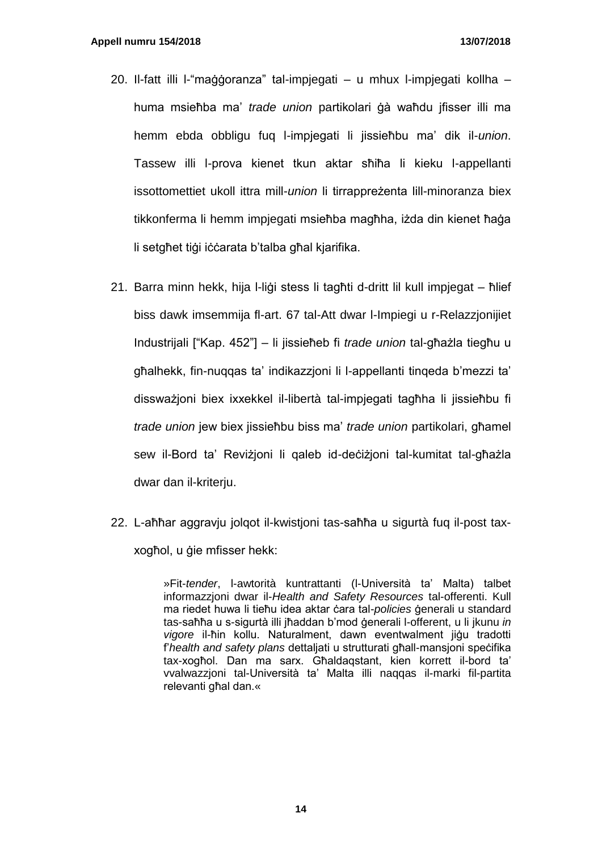- 20. Il-fatt illi l-"maġġoranza" tal-impjegati u mhux l-impjegati kollha huma msieħba ma' *trade union* partikolari ġà waħdu ifisser illi ma hemm ebda obbligu fuq l-impjegati li jissieħbu ma' dik il-*union*. Tassew illi l-prova kienet tkun aktar sħiħa li kieku l-appellanti issottomettiet ukoll ittra mill-*union* li tirrappreżenta lill-minoranza biex tikkonferma li hemm impjegati msieħba magħha, iżda din kienet ħaġa li setgħet tiġi iċċarata b'talba għal kjarifika.
- 21. Barra minn hekk, hija l-liġi stess li tagħti d-dritt lil kull impjegat ħlief biss dawk imsemmija fl-art. 67 tal-Att dwar l-Impiegi u r-Relazzjonijiet Industrijali ["Kap. 452"] – li jissieħeb fi *trade union* tal-għażla tiegħu u għalhekk, fin-nuqqas ta' indikazzjoni li l-appellanti tinqeda b'mezzi ta' dissważjoni biex ixxekkel il-libertà tal-impjegati tagħha li jissieħbu fi *trade union* jew biex jissieħbu biss ma' *trade union* partikolari, għamel sew il-Bord ta' Reviżjoni li qaleb id-deċiżjoni tal-kumitat tal-għażla dwar dan il-kriterju.
- 22. L-aħħar aggravju jolqot il-kwistjoni tas-saħħa u sigurtà fuq il-post taxxogħol, u ġie mfisser hekk:

»Fit-*tender*, l-awtorità kuntrattanti (l-Università ta' Malta) talbet informazzjoni dwar il-*Health and Safety Resources* tal-offerenti. Kull ma riedet huwa li tieħu idea aktar ċara tal-*policies* ġenerali u standard tas-saħħa u s-sigurtà illi jħaddan b'mod ġenerali l-offerent, u li jkunu *in vigore* il-ħin kollu. Naturalment, dawn eventwalment jiġu tradotti f'*health and safety plans* dettaljati u strutturati għall-mansjoni speċifika tax-xogħol. Dan ma sarx. Għaldaqstant, kien korrett il-bord ta' vvalwazzjoni tal-Università ta' Malta illi naqqas il-marki fil-partita relevanti għal dan.«